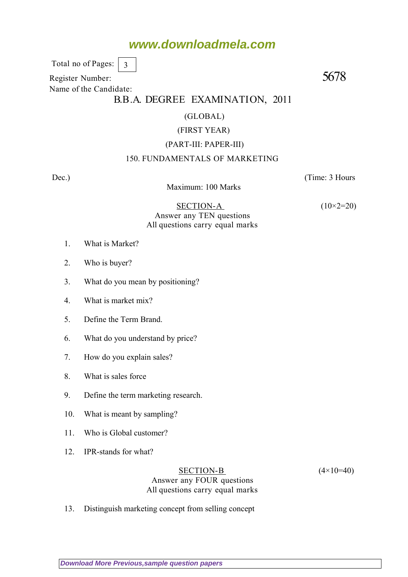# **www.downloadmela.com**

 Total no of Pages: 3

Register Number: 5678 Name of the Candidate:

## B.B.A. DEGREE EXAMINATION, 2011

### (GLOBAL)

### (FIRST YEAR)

### (PART-III: PAPER-III)

### 150. FUNDAMENTALS OF MARKETING

Dec.) (Time: 3 Hours

Maximum: 100 Marks

SECTION-A  $(10\times2=20)$ Answer any TEN questions All questions carry equal marks

- 1. What is Market?
- 2. Who is buyer?
- 3. What do you mean by positioning?
- 4. What is market mix?
- 5. Define the Term Brand.
- 6. What do you understand by price?
- 7. How do you explain sales?
- 8. What is sales force
- 9. Define the term marketing research.
- 10. What is meant by sampling?
- 11. Who is Global customer?
- 12. IPR-stands for what?

SECTION-B  $(4 \times 10=40)$ Answer any FOUR questions All questions carry equal marks

13. Distinguish marketing concept from selling concept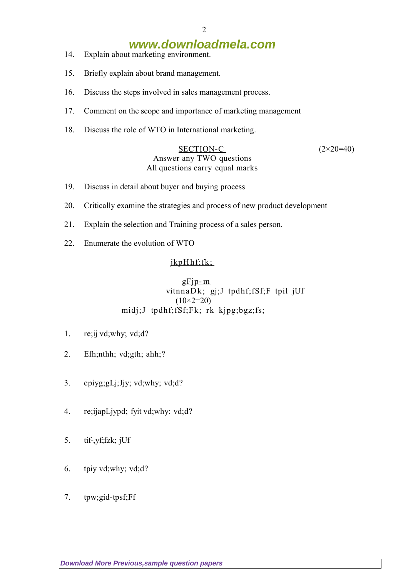# **www.downloadmela.com**

- 14. Explain about marketing environment.
- 15. Briefly explain about brand management.
- 16. Discuss the steps involved in sales management process.
- 17. Comment on the scope and importance of marketing management
- 18. Discuss the role of WTO in International marketing.

### SECTION-C  $(2 \times 20=40)$ Answer any TWO questions All questions carry equal marks

- 19. Discuss in detail about buyer and buying process
- 20. Critically examine the strategies and process of new product development
- 21. Explain the selection and Training process of a sales person.
- 22. Enumerate the evolution of WTO

### jkpHhf;fk;

### $gF$ jp- $m$  vitnnaD k; gj;J tpdhf;fSf;F tpil jUf (10*×2=20)* midj;J tpdhf;fSf;Fk; rk kjpg;bgz;fs;

- 1. re;ij vd;why; vd;d?
- 2. Efh;nthh; vd;gth; ahh;?
- 3. epiyg;gLj;Jjy; vd;why; vd;d?
- 4. re;ijapLjypd; fyit vd;why; vd;d?
- 5. tif-,yf;fzk; jUf
- 6. tpiy vd;why; vd;d?
- 7. tpw;gid-tpsf;Ff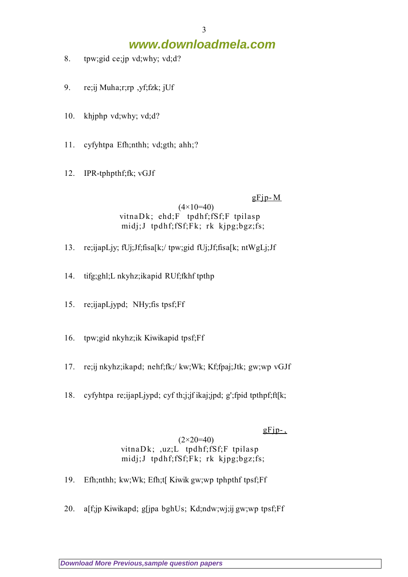# **www.downloadmela.com**

- 8. tpw;gid ce;jp vd;why; vd;d?
- 9. re;ij Muha;r;rp ,yf;fzk; jUf
- 10. khjphp vd;why; vd;d?
- 11. cyfyhtpa Efh;nthh; vd;gth; ahh;?
- 12. IPR-tphpthf;fk; vGJf

 $gF$ jp-M

(4*×10=40)* vitnaDk; ehd;F tpdhf;fSf;F tpilasp midj;J tpdhf;fSf;Fk; rk kjpg;bgz;fs;

- 13. re;ijapLjy; fUj;Jf;fisa[k;/ tpw;gid fUj;Jf;fisa[k; ntWgLj;Jf
- 14. tifg;ghl;L nkyhz;ikapid RUf;fkhf tpthp
- 15. re;ijapLjypd; NHy;fis tpsf;Ff
- 16. tpw;gid nkyhz;ik Kiwikapid tpsf;Ff
- 17. re;ij nkyhz;ikapd; nehf;fk;/ kw;Wk; Kf;fpaj;Jtk; gw;wp vGJf
- 18. cyfyhtpa re;ijapLjypd; cyf th;j;jf ikaj;jpd; g';fpid tpthpf;ft[k;

 $gFip-.$ 

### (2*×20=40)* vitnaDk; ,uz;L tpdhf;fSf;F tpilasp midj;J tpdhf;fSf;Fk; rk kjpg;bgz;fs;

- 19. Efh;nthh; kw;Wk; Efh;t[ Kiwik gw;wp tphpthf tpsf;Ff
- 20. a[f;jp Kiwikapd; g[jpa bghUs; Kd;ndw;wj;ij gw;wp tpsf;Ff